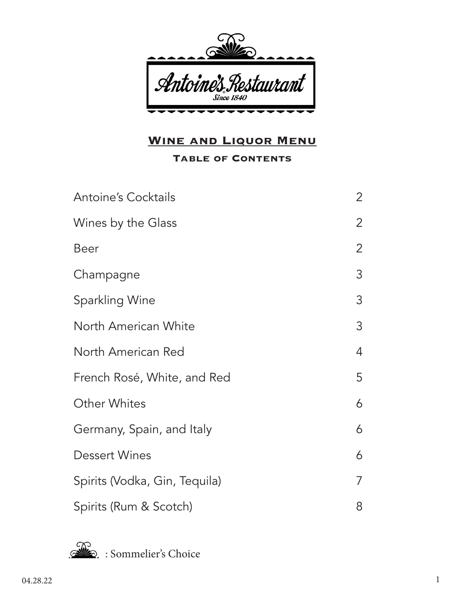

# **Wine and Liquor Menu**

**Table of Contents** 

| <b>Antoine's Cocktails</b>    | $\overline{2}$ |
|-------------------------------|----------------|
| Wines by the Glass            | $\overline{2}$ |
| <b>Beer</b>                   | $\overline{2}$ |
| Champagne                     | 3              |
| Sparkling Wine                | 3              |
| North American White          | 3              |
| North American Red            | 4              |
| French Rosé, White, and Red   | 5              |
| <b>Other Whites</b>           | 6              |
| Germany, Spain, and Italy     | 6              |
| <b>Dessert Wines</b>          | 6              |
| Spirits (Vodka, Gin, Tequila) | 7              |
| Spirits (Rum & Scotch)        | 8              |

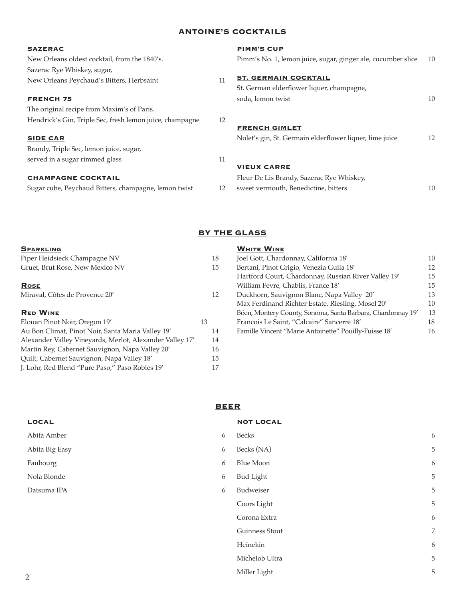#### **ANTOINE'S COCKTAILS**

| <b>SAZERAC</b>                                           |    | <b>PIMM'S CUP</b>                                            |     |
|----------------------------------------------------------|----|--------------------------------------------------------------|-----|
| New Orleans oldest cocktail, from the 1840's.            |    | Pimm's No. 1, lemon juice, sugar, ginger ale, cucumber slice | -10 |
| Sazerac Rye Whiskey, sugar,                              |    |                                                              |     |
| New Orleans Peychaud's Bitters, Herbsaint                | 11 | <b>ST. GERMAIN COCKTAIL</b>                                  |     |
|                                                          |    | St. German elderflower liquer, champagne,                    |     |
| <b>FRENCH 75</b>                                         |    | soda, lemon twist                                            | 10  |
| The original recipe from Maxim's of Paris.               |    |                                                              |     |
| Hendrick's Gin, Triple Sec, fresh lemon juice, champagne | 12 |                                                              |     |
|                                                          |    | <b>FRENCH GIMLET</b>                                         |     |
| <b>SIDE CAR</b>                                          |    | Nolet's gin, St. Germain elderflower liquer, lime juice      | 12  |
| Brandy, Triple Sec, lemon juice, sugar,                  |    |                                                              |     |
| served in a sugar rimmed glass                           | 11 |                                                              |     |
|                                                          |    | <b>VIEUX CARRE</b>                                           |     |
| <b>CHAMPAGNE COCKTAIL</b>                                |    | Fleur De Lis Brandy, Sazerac Rye Whiskey,                    |     |
| Sugar cube, Peychaud Bitters, champagne, lemon twist     | 12 | sweet vermouth, Benedictine, bitters                         | 10  |
|                                                          |    |                                                              |     |

#### **BY THE GLASS**

| <b>SPARKLING</b>                                         |    | <b>WHITE WINE</b>          |
|----------------------------------------------------------|----|----------------------------|
| Piper Heidsieck Champagne NV                             | 18 | Joel Gott, Chardonnay, Ca  |
| Gruet, Brut Rose, New Mexico NV                          | 15 | Bertani, Pinot Grigio, Ven |
|                                                          |    | Hartford Court, Chardon    |
| <b>Rose</b>                                              |    | William Fevre, Chablis, Fi |
| Miraval, Côtes de Provence 20'                           | 12 | Duckhorn, Sauvignon Bla    |
|                                                          |    | Max Ferdinand Richter Es   |
| <b>RED WINE</b>                                          |    | Böen, Montery County, Sor  |
| Elouan Pinot Noir, Oregon 19'                            | 13 | Francois Le Saint, "Calcai |
| Au Bon Climat, Pinot Noir, Santa Maria Valley 19'        | 14 | Famille Vincent "Marie An  |
| Alexander Valley Vineyards, Merlot, Alexander Valley 17' | 14 |                            |
| Martin Rey, Cabernet Sauvignon, Napa Valley 20'          | 16 |                            |
| Quilt, Cabernet Sauvignon, Napa Valley 18'               | 15 |                            |
| J. Lohr, Red Blend "Pure Paso," Paso Robles 19"          | 17 |                            |

## alifornia 18' 10<br>10 aezia Guila 18' 12 ezia Guila 18' nay, Russian River Valley 19' 15<br>Tance 18' 15 rance 18' nc, Napa Valley 20' 13<br>state, Riesling, Mosel 20' 10 state, Riesling, Mosel 20' noma, Santa Barbara, Chardonnay 19' 13<br>ire'' Sancerre 18' 18 ire" Sancerre 18' Artoinette" Pouilly-Fuisse 18' 16

Miller Light 5

**BEER**

| <b>LOCAL</b>   |   | <b>NOT LOCAL</b> |   |
|----------------|---|------------------|---|
| Abita Amber    | 6 | <b>Becks</b>     | 6 |
| Abita Big Easy | 6 | Becks (NA)       | 5 |
| Faubourg       | 6 | <b>Blue Moon</b> | 6 |
| Nola Blonde    | 6 | <b>Bud Light</b> | 5 |
| Datsuma IPA    | 6 | Budweiser        | 5 |
|                |   | Coors Light      | 5 |
|                |   | Corona Extra     | 6 |
|                |   | Guinness Stout   | 7 |
|                |   | Heinekin         | 6 |
|                |   | Michelob Ultra   | 5 |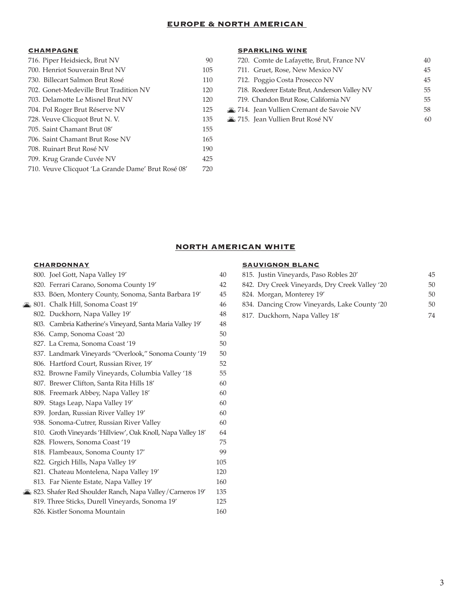#### **EUROPE & NORTH AMERICAN**

#### **CHAMPAGNE**

| 700. Henriot Souverain Brut NV<br>730. Billecart Salmon Brut Rosé<br>702. Gonet-Medeville Brut Tradition NV<br>703. Delamotte Le Misnel Brut NV<br>704. Pol Roger Brut Réserve NV<br>728. Veuve Clicquot Brut N.V.<br>705. Saint Chamant Brut 08'<br>706. Saint Chamant Brut Rose NV<br>708. Ruinart Brut Rosé NV<br>709. Krug Grande Cuvée NV<br>710. Veuve Clicquot 'La Grande Dame' Brut Rosé 08' | 716. Piper Heidsieck, Brut NV | 90  |
|------------------------------------------------------------------------------------------------------------------------------------------------------------------------------------------------------------------------------------------------------------------------------------------------------------------------------------------------------------------------------------------------------|-------------------------------|-----|
|                                                                                                                                                                                                                                                                                                                                                                                                      |                               | 105 |
|                                                                                                                                                                                                                                                                                                                                                                                                      |                               | 110 |
|                                                                                                                                                                                                                                                                                                                                                                                                      |                               | 120 |
|                                                                                                                                                                                                                                                                                                                                                                                                      |                               | 120 |
|                                                                                                                                                                                                                                                                                                                                                                                                      |                               | 125 |
|                                                                                                                                                                                                                                                                                                                                                                                                      |                               | 135 |
|                                                                                                                                                                                                                                                                                                                                                                                                      |                               | 155 |
|                                                                                                                                                                                                                                                                                                                                                                                                      |                               | 165 |
|                                                                                                                                                                                                                                                                                                                                                                                                      |                               | 190 |
|                                                                                                                                                                                                                                                                                                                                                                                                      |                               | 425 |
|                                                                                                                                                                                                                                                                                                                                                                                                      |                               | 720 |

#### **SPARKLING WINE**

| 720. Comte de Lafayette, Brut, France NV      | 40 |
|-----------------------------------------------|----|
| 711. Gruet, Rose, New Mexico NV               | 45 |
| 712. Poggio Costa Prosecco NV                 | 45 |
| 718. Roederer Estate Brut, Anderson Valley NV | 55 |
| 719. Chandon Brut Rose, California NV         | 55 |
| 714. Jean Vullien Cremant de Savoie NV        | 58 |
| 26 715. Jean Vullien Brut Rosé NV             | 60 |

## **NORTH AMERICAN WHITE**

#### **CHARDONNAY**

|  | 800. Joel Gott, Napa Valley 19'                             | 40  |
|--|-------------------------------------------------------------|-----|
|  | 820. Ferrari Carano, Sonoma County 19'                      | 42  |
|  | 833. Böen, Montery County, Sonoma, Santa Barbara 19'        | 45  |
|  | 801. Chalk Hill, Sonoma Coast 19'                           | 46  |
|  | 802. Duckhorn, Napa Valley 19'                              | 48  |
|  | 803. Cambria Katherine's Vineyard, Santa Maria Valley 19'   | 48  |
|  | 836. Camp, Sonoma Coast '20                                 | 50  |
|  | 827. La Crema, Sonoma Coast '19                             | 50  |
|  | 837. Landmark Vineyards "Overlook," Sonoma County '19       | 50  |
|  | 806. Hartford Court, Russian River, 19'                     | 52  |
|  | 832. Browne Family Vineyards, Columbia Valley '18           | 55  |
|  | 807. Brewer Clifton, Santa Rita Hills 18'                   | 60  |
|  | 808. Freemark Abbey, Napa Valley 18'                        | 60  |
|  | 809. Stags Leap, Napa Valley 19'                            | 60  |
|  | 839. Jordan, Russian River Valley 19'                       | 60  |
|  | 938. Sonoma-Cutrer, Russian River Valley                    | 60  |
|  | 810. Groth Vineyards 'Hillview', Oak Knoll, Napa Valley 18' | 64  |
|  | 828. Flowers, Sonoma Coast '19                              | 75  |
|  | 818. Flambeaux, Sonoma County 17'                           | 99  |
|  | 822. Grgich Hills, Napa Valley 19'                          | 105 |
|  | 821. Chateau Montelena, Napa Valley 19'                     | 120 |
|  | 813. Far Niente Estate, Napa Valley 19'                     | 160 |
|  | 823. Shafer Red Shoulder Ranch, Napa Valley / Carneros 19'  | 135 |
|  | 819. Three Sticks, Durell Vineyards, Sonoma 19'             | 125 |
|  | 826. Kistler Sonoma Mountain                                | 160 |

#### **SAUVIGNON BLANC**

| 815. Justin Vineyards, Paso Robles 20'         | 45 |
|------------------------------------------------|----|
| 842. Dry Creek Vineyards, Dry Creek Valley '20 | 50 |
| 824. Morgan, Monterey 19'                      | 50 |
| 834. Dancing Crow Vineyards, Lake County '20   | 50 |
| 817. Duckhorn, Napa Valley 18'                 | 74 |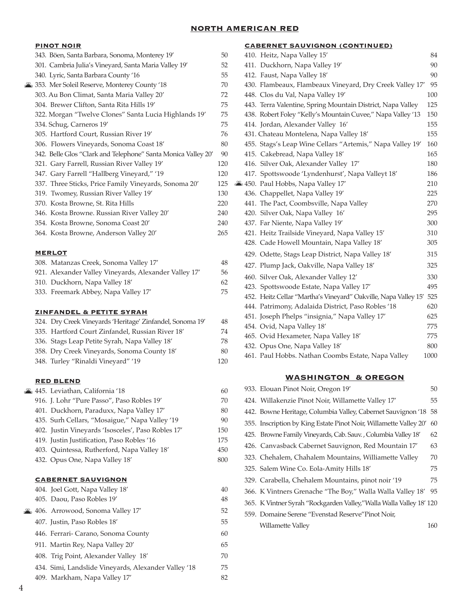#### **NORTH AMERICAN RED**

### **PINOT NOIR**

| .                                                             |     |
|---------------------------------------------------------------|-----|
| 343. Böen, Santa Barbara, Sonoma, Monterey 19'                | 50  |
| 301. Cambria Julia's Vineyard, Santa Maria Valley 19'         | 52  |
| 340. Lyric, Santa Barbara County '16                          | 55  |
| 353. Mer Soleil Reserve, Monterey County '18                  | 70  |
| 303. Au Bon Climat, Santa Maria Valley 20'                    | 72  |
| 304.  Brewer Clifton, Santa Rita Hills 19′                    | 75  |
| 322. Morgan "Twelve Clones" Santa Lucia Highlands 19'         | 75  |
| 334. Schug, Carneros 19'                                      | 75  |
| 305. Hartford Court, Russian River 19'                        | 76  |
| 306. Flowers Vineyards, Sonoma Coast 18'                      | 80  |
| 342. Belle Glos "Clark and Telephone" Santa Monica Valley 20' | 90  |
| 321. Gary Farrell, Russian River Valley 19'                   | 120 |
| 347. Gary Farrell "Hallberg Vineyard," '19                    | 120 |
| 337. Three Sticks, Price Family Vineyards, Sonoma 20'         | 125 |
| 319. Twomey, Russian River Valley 19'                         | 130 |
| 370. Kosta Browne, St. Rita Hills                             | 220 |
| 346. Kosta Browne. Russian River Valley 20'                   | 240 |
| 354. Kosta Browne, Sonoma Coast 20'                           | 240 |
| 364. Kosta Browne, Anderson Valley 20'                        | 265 |

#### **MERLOT**

| 308. Matanzas Creek, Sonoma Valley 17'                | 48 |
|-------------------------------------------------------|----|
| 921. Alexander Valley Vineyards, Alexander Valley 17' | 56 |
| 310. Duckhorn, Napa Valley 18'                        | 62 |
| 333. Freemark Abbey, Napa Valley 17'                  | 75 |

#### **ZINFANDEL & PETITE SYRAH**

| 324. Dry Creek Vineyards 'Heritage' Zinfandel, Sonoma 19' | 48  |
|-----------------------------------------------------------|-----|
| 335. Hartford Court Zinfandel, Russian River 18'          | 74  |
| 336. Stags Leap Petite Syrah, Napa Valley 18'             | 78  |
| 358. Dry Creek Vineyards, Sonoma County 18'               | 80  |
| 348. Turley "Rinaldi Vineyard" '19                        | 120 |

#### **RED BLEND**

|  | 445. Leviathan, California '18                     | 60  |
|--|----------------------------------------------------|-----|
|  | 916. J. Lohr "Pure Passo", Paso Robles 19'         | 70  |
|  | 401. Duckhorn, Paraduxx, Napa Valley 17'           | 80  |
|  | 435. Surh Cellars, "Mosaigue," Napa Valley '19     | 90  |
|  | 402. Justin Vineyards 'Isosceles', Paso Robles 17' | 150 |
|  | 419. Justin Justification, Paso Robles '16         | 175 |
|  | 403. Quintessa, Rutherford, Napa Valley 18'        | 450 |
|  | 432. Opus One, Napa Valley 18'                     | 800 |
|  |                                                    |     |
|  | <b>CABERNET SAUVIGNON</b>                          |     |
|  | 404. Joel Gott, Napa Valley 18'                    | 40  |
|  | 405. Daou, Paso Robles 19'                         | 48  |
|  | 26 406. Arrowood, Sonoma Valley 17'                | 52  |
|  | 407. Justin, Paso Robles 18'                       | 55  |
|  | 446. Ferrari- Carano, Sonoma County                | 60  |
|  | 911. Martin Rey, Napa Valley 20'                   | 65  |

- 408. Trig Point, Alexander Valley 18' 70
- 434. Simi, Landslide Vineyards, Alexander Valley '18 75
- 409. Markham, Napa Valley 17' 82

#### **CABERNET SAUVIGNON (CONTINUED)**

|  | 410. Heitz, Napa Valley 15'                                     | 84   |
|--|-----------------------------------------------------------------|------|
|  | 411. Duckhorn, Napa Valley 19'                                  | 90   |
|  | 412. Faust, Napa Valley 18'                                     | 90   |
|  | 430. Flambeaux, Flambeaux Vineyard, Dry Creek Valley 17'        | 95   |
|  | 448. Clos du Val, Napa Valley 19'                               | 100  |
|  | 443. Terra Valentine, Spring Mountain District, Napa Valley     | 125  |
|  | 438. Robert Foley "Kelly's Mountain Cuvee," Napa Valley '13     | 150  |
|  | 414. Jordan, Alexander Valley 16'                               | 155  |
|  | 431. Chateau Montelena, Napa Valley 18'                         | 155  |
|  | 455. Stags's Leap Wine Cellars "Artemis," Napa Valley 19'       | 160  |
|  | 415. Cakebread, Napa Valley 18'                                 | 165  |
|  | 416. Silver Oak, Alexander Valley 17'                           | 180  |
|  | 417. Spottswoode 'Lyndenhurst', Napa Valleyt 18'                | 186  |
|  | 450. Paul Hobbs, Napa Valley 17'                                | 210  |
|  | 436. Chappellet, Napa Valley 19'                                | 225  |
|  | 441. The Pact, Coombsville, Napa Valley                         | 270  |
|  | 420. Silver Oak, Napa Valley 16'                                | 295  |
|  | 437. Far Niente, Napa Valley 19'                                | 300  |
|  | 421. Heitz Trailside Vineyard, Napa Valley 15'                  | 310  |
|  | 428. Cade Howell Mountain, Napa Valley 18'                      | 305  |
|  | 429. Odette, Stags Leap District, Napa Valley 18'               | 315  |
|  | 427. Plump Jack, Oakville, Napa Valley 18'                      | 325  |
|  | 460. Silver Oak, Alexander Valley 12'                           | 330  |
|  | 423. Spottswoode Estate, Napa Valley 17'                        | 495  |
|  | 452. Heitz Cellar "Martha's Vineyard" Oakville, Napa Valley 15' | 525  |
|  | 444. Patrimony, Adalaida District, Paso Robles '18              | 620  |
|  | 451. Joseph Phelps "insignia," Napa Valley 17"                  | 625  |
|  | 454. Ovid, Napa Valley 18'                                      | 775  |
|  | 465. Ovid Hexameter, Napa Valley 18'                            | 775  |
|  | 432. Opus One, Napa Valley 18'                                  | 800  |
|  | 461. Paul Hobbs. Nathan Coombs Estate, Napa Valley              | 1000 |
|  |                                                                 |      |

#### **WASHINGTON & OREGON**

|  | 933. Elouan Pinot Noir, Oregon 19'                                   | 50  |
|--|----------------------------------------------------------------------|-----|
|  | 424. Willakenzie Pinot Noir, Willamette Valley 17'                   | 55  |
|  | 442. Bowne Heritage, Columbia Valley, Cabernet Sauvignon '18         | 58  |
|  | 355. Inscription by King Estate Pinot Noir, Willamette Valley 20'    | 60  |
|  | 425. Browne Family Vineyards, Cab. Sauv., Columbia Valley 18'        | 62  |
|  | 426. Canvasback Cabernet Sauvignon, Red Mountain 17'                 | 63  |
|  | 323. Chehalem, Chahalem Mountains, Williamette Valley                | 70  |
|  | 325. Salem Wine Co. Eola-Amity Hills 18'                             | 75  |
|  | 329. Carabella, Chehalem Mountains, pinot noir '19                   | 75  |
|  | 366. K Vintners Grenache "The Boy," Walla Walla Valley 18'           | 95  |
|  | 365. K Vintner Syrah "Rockgarden Valley," Walla Walla Valley 18' 120 |     |
|  | 559. Domaine Serene "Evenstad Reserve" Pinot Noir,                   |     |
|  | Willamette Valley                                                    | 160 |
|  |                                                                      |     |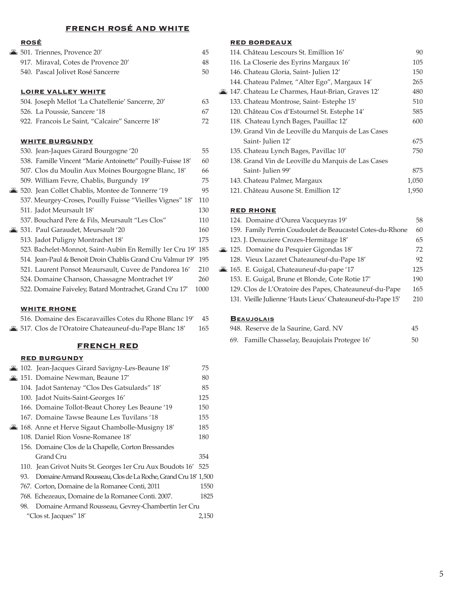# **FRENCH ROSÉ AND WHITE**

#### **ROSÉ**

| 501. Triennes, Provence 20'                                | 45   |
|------------------------------------------------------------|------|
| 917. Miraval, Cotes de Provence 20'                        | 48   |
| 540. Pascal Jolivet Rosé Sancerre                          | 50   |
|                                                            |      |
| <b>LOIRE VALLEY WHITE</b>                                  |      |
| 504. Joseph Mellot 'La Chatellenie' Sancerre, 20'          | 63   |
| 526. La Poussie, Sancere '18                               | 67   |
| 922. Francois Le Saint, "Calcaire" Sancerre 18'            | 72   |
|                                                            |      |
| <b>WHITE BURGUNDY</b>                                      |      |
| 530. Jean-Jaques Girard Bourgogne '20                      | 55   |
| 538. Famille Vincent "Marie Antoinette" Pouilly-Fuisse 18' | 60   |
| 507. Clos du Moulin Aux Moines Bourgogne Blanc, 18'        | 66   |
| 509. William Fevre, Chablis, Burgundy 19'                  | 75   |
| 520. Jean Collet Chablis, Montee de Tonnerre '19           | 95   |
| 537. Meurgey-Croses, Pouilly Fuisse "Vieilles Vignes" 18'  | 110  |
| 511. Jadot Meursault 18'                                   | 130  |
| 537. Bouchard Pere & Fils, Meursault "Les Clos"            | 110  |
| 331. Paul Garaudet, Meursault '20                          | 160  |
| 513. Jadot Puligny Montrachet 18'                          | 175  |
| 523. Bachelet-Monnot, Saint-Aubin En Remilly 1er Cru 19'   | 185  |
| 514. Jean-Paul & Benoit Droin Chablis Grand Cru Valmur 19' | 195  |
| 521. Laurent Ponsot Meaursault, Cuvee de Pandorea 16'      | 210  |
| 524. Domaine Chanson, Chassagne Montrachet 19'             | 260  |
| 522. Domaine Faiveley, Batard Montrachet, Grand Cru 17'    | 1000 |

#### **WHITE RHONE**

| 516. Domaine des Escaravailles Cotes du Rhone Blanc 19' | 45  |
|---------------------------------------------------------|-----|
| 68 517. Clos de l'Oratoire Chateauneuf-du-Pape Blanc 18 | 165 |

#### **FRENCH RED**

#### **RED BURGUNDY**

|     | 18′ 102. Jean-Jacques Girard Savigny-Les-Beaune 18′                | 75    |
|-----|--------------------------------------------------------------------|-------|
|     | 151. Domaine Newman, Beaune 17'                                    | 80    |
|     | 104. Jadot Santenay "Clos Des Gatsulards" 18'                      | 85    |
|     | 100. Jadot Nuits-Saint-Georges 16'                                 | 125   |
|     | 166. Domaine Tollot-Beaut Chorey Les Beaune '19                    | 150   |
|     | 167. Domaine Tawse Beaune Les Tuvilans '18                         | 155   |
|     | 18' 168. Anne et Herve Sigaut Chambolle-Musigny 18'                | 185   |
|     | 108. Daniel Rion Vosne-Romanee 18'                                 | 180   |
|     | 156. Domaine Clos de la Chapelle, Corton Bressandes                |       |
|     | Grand Cru                                                          | 354   |
|     | 110. Jean Grivot Nuits St. Georges 1er Cru Aux Boudots 16'         | 525   |
|     | 93. Domaine Armand Rousseau, Clos de La Roche, Grand Cru 18' 1,500 |       |
|     | 767. Corton, Domaine de la Romanee Conti, 2011                     | 1550  |
|     | 768. Echezeaux, Domaine de la Romanee Conti. 2007.                 | 1825  |
| 98. | Domaine Armand Rousseau, Gevrey-Chambertin 1er Cru                 |       |
|     | "Clos st. Jacques" 18'                                             | 2.150 |

#### **RED BORDEAUX**

| 114. Château Lescours St. Emillion 16'             | 90    |
|----------------------------------------------------|-------|
| 116. La Closerie des Eyrins Margaux 16'            | 105   |
| 146. Chateau Gloria, Saint- Julien 12'             | 150   |
| 144. Chateau Palmer, "Alter Ego", Margaux 14'      | 265   |
| 12 147. Chateau Le Charmes, Haut-Brian, Graves 12  | 480   |
| 133. Chateau Montrose, Saint-Estephe 15'           | 510   |
| 120. Château Cos d'Estournel St. Estephe 14'       | 585   |
| 118. Chateau Lynch Bages, Pauillac 12'             | 600   |
| 139. Grand Vin de Leoville du Marquis de Las Cases |       |
| Saint-Julien 12'                                   | 675   |
| 135. Chateau Lynch Bages, Pavillac 10'             | 750   |
| 138. Grand Vin de Leoville du Marquis de Las Cases |       |
| Saint-Julien 99'                                   | 875   |
| 143. Chateau Palmer, Margaux                       | 1,050 |
| 121. Château Ausone St. Emillion 12'               | 1,950 |
|                                                    |       |

#### **RED RHONE**

| 124. Domaine d'Ourea Vacqueyras 19'                         | 58  |
|-------------------------------------------------------------|-----|
| 159. Family Perrin Coudoulet de Beaucastel Cotes-du-Rhone   | 60  |
| 123. J. Denuziere Crozes-Hermitage 18'                      | 65  |
| 26 125. Domaine du Pesquier Gigondas 18'                    | 72  |
| 128. Vieux Lazaret Chateauneuf-du-Pape 18'                  | 92  |
| 26 165. E. Guigal, Chateauneuf-du-pape '17                  | 125 |
| 153. E. Guigal, Brune et Blonde, Cote Rotie 17'             | 190 |
| 129. Clos de L'Oratoire des Papes, Chateauneuf-du-Pape      | 165 |
| 131. Vieille Julienne 'Hauts Lieux' Chateauneuf-du-Pape 15' | 210 |
|                                                             |     |

#### **Beaujolais**

| 948. Reserve de la Saurine, Gard. NV           | 45 |
|------------------------------------------------|----|
| 69. Famille Chasselay, Beaujolais Protegee 16' | 50 |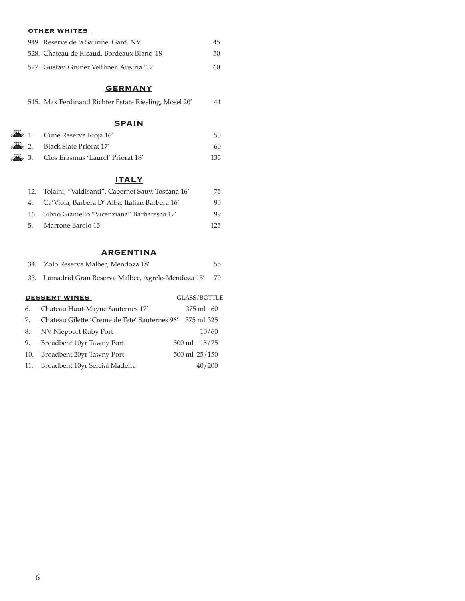#### **OTHER WHITES**

| 949. Reserve de la Saurine, Gard. NV       | 45 |
|--------------------------------------------|----|
| 528. Chateau de Ricaud. Bordeaux Blanc '18 | 50 |
| 527. Gustav, Gruner Veltliner, Austria '17 | 60 |

## **GERMANY**

515. Max Ferdinand Richter Estate Riesling, Mosel 20' 44

#### **SPAIN**

| $\frac{1}{2}$ 1. Cune Reserva Rioja 16'  | 50  |
|------------------------------------------|-----|
| $\frac{1}{2}$ 2. Black Slate Priorat 17' | 60  |
| 3. Clos Erasmus 'Laurel' Priorat 18'     | 135 |

#### **ITALY**

| 12. Tolaini, "Valdisanti", Cabernet Sauv. Toscana 16' | 75.  |
|-------------------------------------------------------|------|
| 4. Ca'Viola, Barbera D'Alba, Italian Barbera 16'      | 90.  |
| 16. Silvio Giamello "Vicenziana" Barbaresco 17'       | 99.  |
| 5. Marrone Barolo 15'                                 | 125. |

#### **ARGENTINA**

|     | 34. Zolo Reserva Malbec, Mendoza 18'                     |  |                   | 55           |
|-----|----------------------------------------------------------|--|-------------------|--------------|
|     | 33. Lamadrid Gran Reserva Malbec, Agrelo-Mendoza 15'     |  |                   | 70           |
|     | <b>DESSERT WINES</b>                                     |  |                   | GLASS/BOTTLE |
| 6.  | Chateau Haut-Mayne Sauternes 17'                         |  | 375 ml 60         |              |
| 7.  | Chateau Gilette 'Creme de Tete' Sauternes 96' 375 ml 325 |  |                   |              |
| 8.  | NV Niepoort Ruby Port                                    |  |                   | 10/60        |
| 9.  | Broadbent 10yr Tawny Port                                |  | 500 ml 15/75      |              |
| 10. | Broadbent 20yr Tawny Port                                |  | $500$ ml $25/150$ |              |
| 11. | Broadbent 10yr Sercial Madeira                           |  | 40/200            |              |
|     |                                                          |  |                   |              |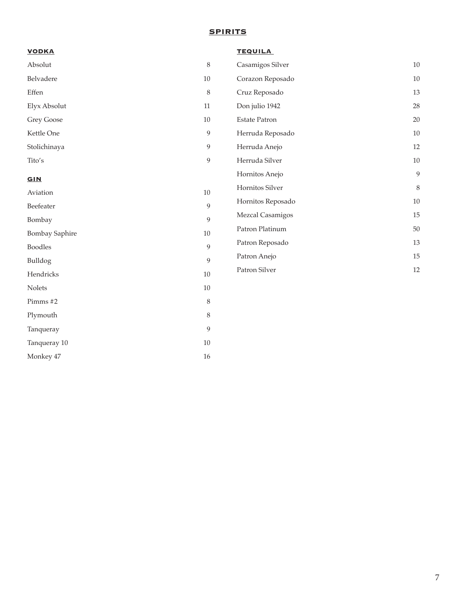#### **SPIRITS**

#### **VODKA**

# Absolut 8 Belvadere 10 Effen 8 Elyx Absolut 11 Grey Goose 10 Kettle One 9 Stolichinaya 9 Tito's 9 **GIN** Aviation 10

Beefeater 9 Bombay 9 Bombay Saphire 10 Boodles 9 Bulldog 9 Hendricks 10 Nolets and the set of the set of the set of the set of the set of the set of the set of the set of the set of the set of the set of the set of the set of the set of the set of the set of the set of the set of the set of th Pimms #2 8 Plymouth 8 Tanqueray 9 Tanqueray 10 10 Monkey 47 16

# **TEQUILA**  Casamigos Silver 10 Corazon Reposado 10 Cruz Reposado 13 Don julio 1942 28 Estate Patron 20

- Herruda Reposado 10 Herruda Anejo 12 Herruda Silver 10 Hornitos Anejo 9 Hornitos Silver 8 Hornitos Reposado 10 Mezcal Casamigos 15 Patron Platinum 50 Patron Reposado 13 Patron Anejo 15
- Patron Silver 12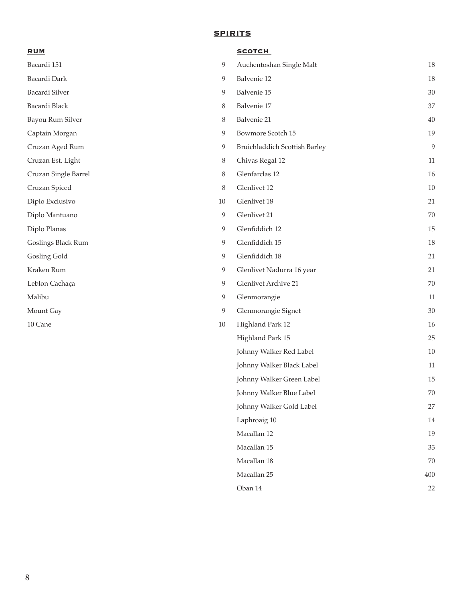## **SPIRITS**

# **RUM**

#### **SCOTCH**

| Bacardi 151<br>9          | Auchentoshan Single Malt      | 18  |
|---------------------------|-------------------------------|-----|
| Bacardi Dark<br>9         | Balvenie 12                   | 18  |
| Bacardi Silver<br>9       | Balvenie 15                   | 30  |
| Bacardi Black<br>8        | Balvenie 17                   | 37  |
| Bayou Rum Silver<br>8     | Balvenie 21                   | 40  |
| Captain Morgan<br>9       | Bowmore Scotch 15             | 19  |
| Cruzan Aged Rum<br>9      | Bruichladdich Scottish Barley | 9   |
| Cruzan Est. Light<br>8    | Chivas Regal 12               | 11  |
| Cruzan Single Barrel<br>8 | Glenfarclas 12                | 16  |
| Cruzan Spiced<br>8        | Glenlivet 12                  | 10  |
| Diplo Exclusivo<br>10     | Glenlivet 18                  | 21  |
| Diplo Mantuano<br>9       | Glenlivet 21                  | 70  |
| Diplo Planas<br>9         | Glenfiddich 12                | 15  |
| Goslings Black Rum<br>9   | Glenfiddich 15                | 18  |
| <b>Gosling Gold</b><br>9  | Glenfiddich 18                | 21  |
| Kraken Rum<br>9           | Glenlivet Nadurra 16 year     | 21  |
| Leblon Cachaça<br>9       | Glenlivet Archive 21          | 70  |
| Malibu<br>9               | Glenmorangie                  | 11  |
| Mount Gay<br>9            | Glenmorangie Signet           | 30  |
| 10 Cane<br>10             | Highland Park 12              | 16  |
|                           | Highland Park 15              | 25  |
|                           | Johnny Walker Red Label       | 10  |
|                           | Johnny Walker Black Label     | 11  |
|                           | Johnny Walker Green Label     | 15  |
|                           | Johnny Walker Blue Label      | 70  |
|                           | Johnny Walker Gold Label      | 27  |
|                           | Laphroaig 10                  | 14  |
|                           | Macallan 12                   | 19  |
|                           | Macallan 15                   | 33  |
|                           | Macallan 18                   | 70  |
|                           | Macallan 25                   | 400 |
|                           | Oban 14                       | 22  |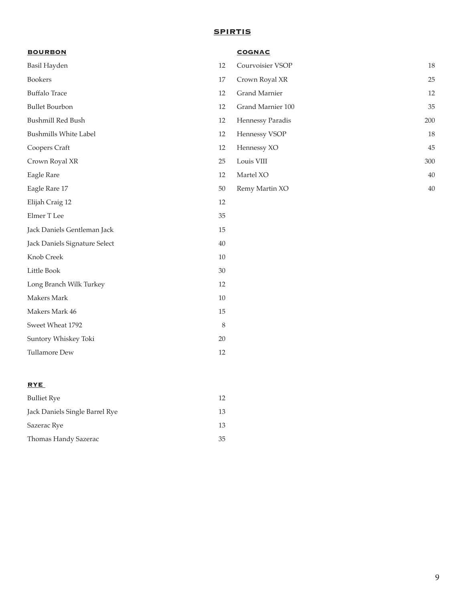# **SPIRTIS**

#### **BOURBON**

#### **COGNAC**

| Basil Hayden                  | 12      | Courvoisier VSOP     | 18  |
|-------------------------------|---------|----------------------|-----|
| <b>Bookers</b>                | 17      | Crown Royal XR       | 25  |
| <b>Buffalo Trace</b>          | 12      | <b>Grand Marnier</b> | 12  |
| <b>Bullet Bourbon</b>         | 12      | Grand Marnier 100    | 35  |
| Bushmill Red Bush             | $12\,$  | Hennessy Paradis     | 200 |
| <b>Bushmills White Label</b>  | 12      | Hennessy VSOP        | 18  |
| Coopers Craft                 | $12\,$  | Hennessy XO          | 45  |
| Crown Royal XR                | 25      | Louis VIII           | 300 |
| Eagle Rare                    | $12\,$  | Martel XO            | 40  |
| Eagle Rare 17                 | $50\,$  | Remy Martin XO       | 40  |
| Elijah Craig 12               | 12      |                      |     |
| Elmer T Lee                   | 35      |                      |     |
| Jack Daniels Gentleman Jack   | 15      |                      |     |
| Jack Daniels Signature Select | 40      |                      |     |
| Knob Creek                    | 10      |                      |     |
| Little Book                   | 30      |                      |     |
| Long Branch Wilk Turkey       | 12      |                      |     |
| Makers Mark                   | $10\,$  |                      |     |
| Makers Mark 46                | 15      |                      |     |
| Sweet Wheat 1792              | $\,8\,$ |                      |     |
| Suntory Whiskey Toki          | 20      |                      |     |
| <b>Tullamore Dew</b>          | 12      |                      |     |

#### **RYE**

| <b>Bulliet Rye</b>             | 12 |
|--------------------------------|----|
| Jack Daniels Single Barrel Rye | 13 |
| Sazerac Rye                    | 13 |
| Thomas Handy Sazerac           | 35 |

| COUI VOISICI VOOT    | ⊥∪  |
|----------------------|-----|
| Crown Royal XR       | 25  |
| <b>Grand Marnier</b> | 12  |
| Grand Marnier 100    | 35  |
| Hennessy Paradis     | 200 |
| Hennessy VSOP        | 18  |
| Hennessy XO          | 45  |